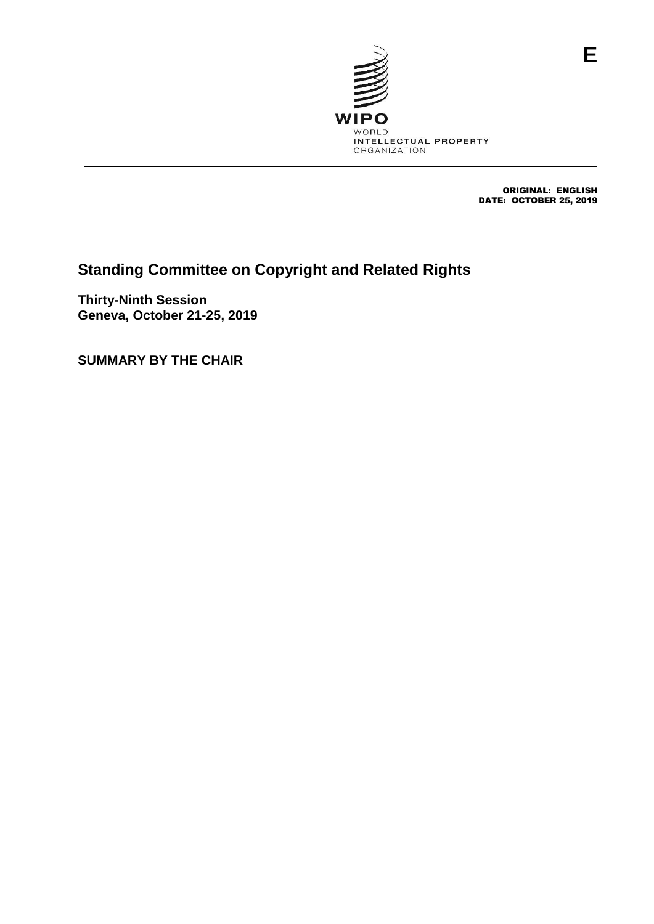

 ORIGINAL: ENGLISH DATE: OCTOBER 25, 2019

# **Standing Committee on Copyright and Related Rights**

**Thirty-Ninth Session Geneva, October 21-25, 2019**

**SUMMARY BY THE CHAIR**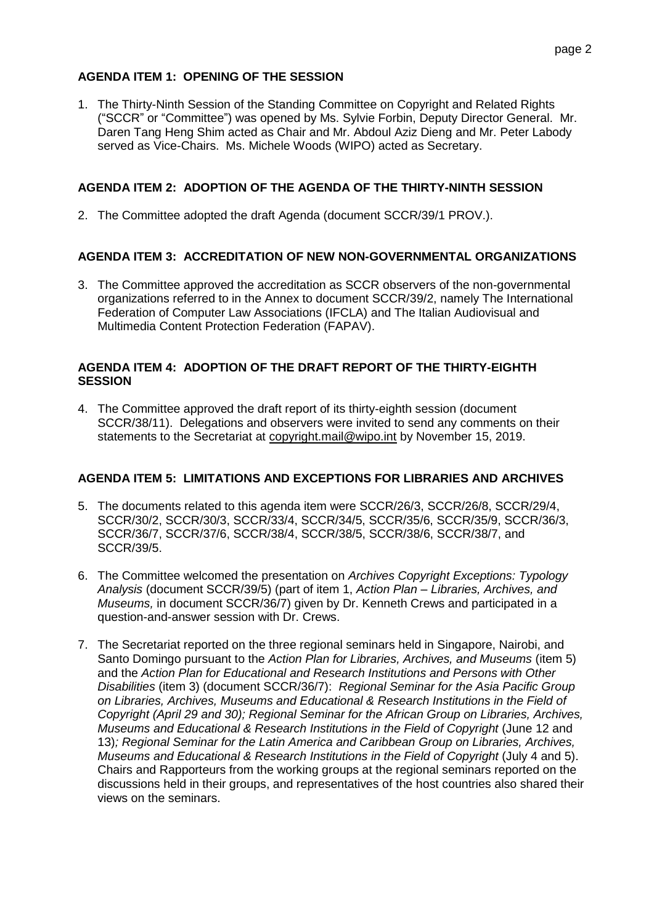## **AGENDA ITEM 1: OPENING OF THE SESSION**

1. The Thirty-Ninth Session of the Standing Committee on Copyright and Related Rights ("SCCR" or "Committee") was opened by Ms. Sylvie Forbin, Deputy Director General. Mr. Daren Tang Heng Shim acted as Chair and Mr. Abdoul Aziz Dieng and Mr. Peter Labody served as Vice-Chairs. Ms. Michele Woods (WIPO) acted as Secretary.

#### **AGENDA ITEM 2: ADOPTION OF THE AGENDA OF THE THIRTY-NINTH SESSION**

2. The Committee adopted the draft Agenda (document SCCR/39/1 PROV.).

## **AGENDA ITEM 3: ACCREDITATION OF NEW NON-GOVERNMENTAL ORGANIZATIONS**

3. The Committee approved the accreditation as SCCR observers of the non-governmental organizations referred to in the Annex to document SCCR/39/2, namely The International Federation of Computer Law Associations (IFCLA) and The Italian Audiovisual and Multimedia Content Protection Federation (FAPAV).

#### **AGENDA ITEM 4: ADOPTION OF THE DRAFT REPORT OF THE THIRTY-EIGHTH SESSION**

4. The Committee approved the draft report of its thirty-eighth session (document SCCR/38/11). Delegations and observers were invited to send any comments on their statements to the Secretariat at copyright.mail@wipo.int by November 15, 2019.

#### **AGENDA ITEM 5: LIMITATIONS AND EXCEPTIONS FOR LIBRARIES AND ARCHIVES**

- 5. The documents related to this agenda item were SCCR/26/3, SCCR/26/8, SCCR/29/4, SCCR/30/2, SCCR/30/3, SCCR/33/4, SCCR/34/5, SCCR/35/6, SCCR/35/9, SCCR/36/3, SCCR/36/7, SCCR/37/6, SCCR/38/4, SCCR/38/5, SCCR/38/6, SCCR/38/7, and SCCR/39/5.
- 6. The Committee welcomed the presentation on *Archives Copyright Exceptions: Typology Analysis* (document SCCR/39/5) (part of item 1, *Action Plan – Libraries, Archives, and Museums,* in document SCCR/36/7) given by Dr. Kenneth Crews and participated in a question-and-answer session with Dr. Crews.
- 7. The Secretariat reported on the three regional seminars held in Singapore, Nairobi, and Santo Domingo pursuant to the *Action Plan for Libraries, Archives, and Museums* (item 5) and the *Action Plan for Educational and Research Institutions and Persons with Other Disabilities* (item 3) (document SCCR/36/7): *Regional Seminar for the Asia Pacific Group on Libraries, Archives, Museums and Educational & Research Institutions in the Field of Copyright (April 29 and 30); Regional Seminar for the African Group on Libraries, Archives, Museums and Educational & Research Institutions in the Field of Copyright* (June 12 and 13)*; Regional Seminar for the Latin America and Caribbean Group on Libraries, Archives, Museums and Educational & Research Institutions in the Field of Copyright* (July 4 and 5). Chairs and Rapporteurs from the working groups at the regional seminars reported on the discussions held in their groups, and representatives of the host countries also shared their views on the seminars.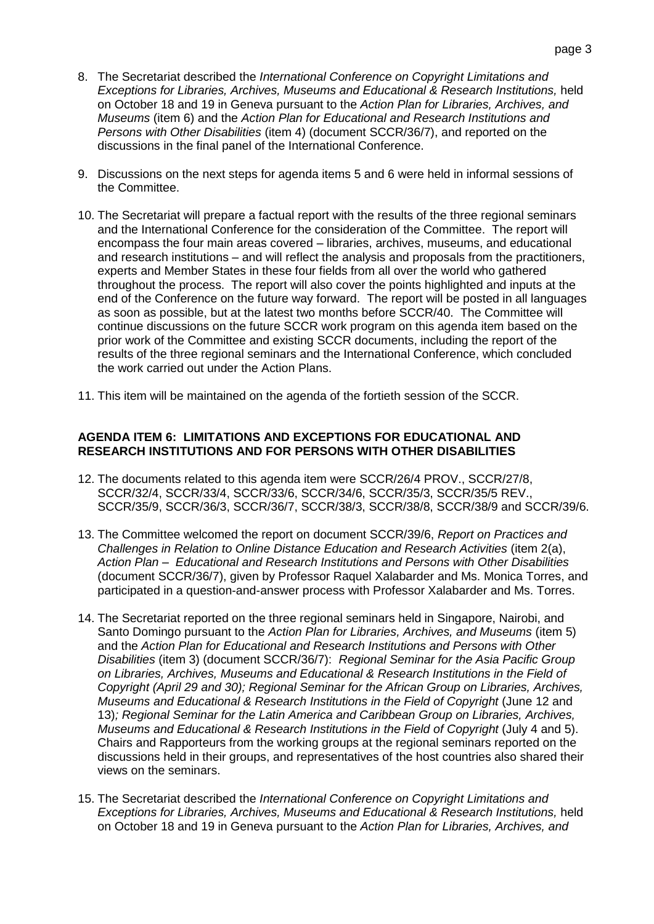- 8. The Secretariat described the *International Conference on Copyright Limitations and Exceptions for Libraries, Archives, Museums and Educational & Research Institutions,* held on October 18 and 19 in Geneva pursuant to the *Action Plan for Libraries, Archives, and Museums* (item 6) and the *Action Plan for Educational and Research Institutions and Persons with Other Disabilities* (item 4) (document SCCR/36/7), and reported on the discussions in the final panel of the International Conference.
- 9. Discussions on the next steps for agenda items 5 and 6 were held in informal sessions of the Committee.
- 10. The Secretariat will prepare a factual report with the results of the three regional seminars and the International Conference for the consideration of the Committee. The report will encompass the four main areas covered – libraries, archives, museums, and educational and research institutions – and will reflect the analysis and proposals from the practitioners, experts and Member States in these four fields from all over the world who gathered throughout the process. The report will also cover the points highlighted and inputs at the end of the Conference on the future way forward. The report will be posted in all languages as soon as possible, but at the latest two months before SCCR/40. The Committee will continue discussions on the future SCCR work program on this agenda item based on the prior work of the Committee and existing SCCR documents, including the report of the results of the three regional seminars and the International Conference, which concluded the work carried out under the Action Plans.
- 11. This item will be maintained on the agenda of the fortieth session of the SCCR.

#### **AGENDA ITEM 6: LIMITATIONS AND EXCEPTIONS FOR EDUCATIONAL AND RESEARCH INSTITUTIONS AND FOR PERSONS WITH OTHER DISABILITIES**

- 12. The documents related to this agenda item were SCCR/26/4 PROV., SCCR/27/8, SCCR/32/4, SCCR/33/4, SCCR/33/6, SCCR/34/6, SCCR/35/3, SCCR/35/5 REV., SCCR/35/9, SCCR/36/3, SCCR/36/7, SCCR/38/3, SCCR/38/8, SCCR/38/9 and SCCR/39/6.
- 13. The Committee welcomed the report on document SCCR/39/6, *Report on Practices and Challenges in Relation to Online Distance Education and Research Activities* (item 2(a), *Action Plan – Educational and Research Institutions and Persons with Other Disabilities* (document SCCR/36/7), given by Professor Raquel Xalabarder and Ms. Monica Torres, and participated in a question-and-answer process with Professor Xalabarder and Ms. Torres.
- 14. The Secretariat reported on the three regional seminars held in Singapore, Nairobi, and Santo Domingo pursuant to the *Action Plan for Libraries, Archives, and Museums* (item 5) and the *Action Plan for Educational and Research Institutions and Persons with Other Disabilities* (item 3) (document SCCR/36/7): *Regional Seminar for the Asia Pacific Group on Libraries, Archives, Museums and Educational & Research Institutions in the Field of Copyright (April 29 and 30); Regional Seminar for the African Group on Libraries, Archives, Museums and Educational & Research Institutions in the Field of Copyright* (June 12 and 13)*; Regional Seminar for the Latin America and Caribbean Group on Libraries, Archives, Museums and Educational & Research Institutions in the Field of Copyright* (July 4 and 5). Chairs and Rapporteurs from the working groups at the regional seminars reported on the discussions held in their groups, and representatives of the host countries also shared their views on the seminars.
- 15. The Secretariat described the *International Conference on Copyright Limitations and Exceptions for Libraries, Archives, Museums and Educational & Research Institutions,* held on October 18 and 19 in Geneva pursuant to the *Action Plan for Libraries, Archives, and*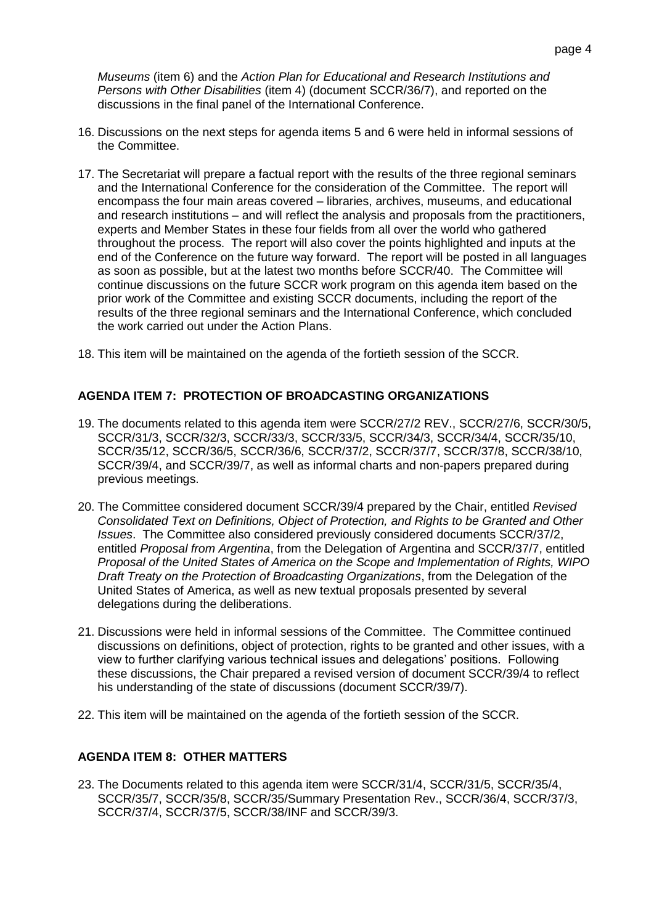*Museums* (item 6) and the *Action Plan for Educational and Research Institutions and Persons with Other Disabilities* (item 4) (document SCCR/36/7), and reported on the discussions in the final panel of the International Conference.

- 16. Discussions on the next steps for agenda items 5 and 6 were held in informal sessions of the Committee.
- 17. The Secretariat will prepare a factual report with the results of the three regional seminars and the International Conference for the consideration of the Committee. The report will encompass the four main areas covered – libraries, archives, museums, and educational and research institutions – and will reflect the analysis and proposals from the practitioners, experts and Member States in these four fields from all over the world who gathered throughout the process. The report will also cover the points highlighted and inputs at the end of the Conference on the future way forward. The report will be posted in all languages as soon as possible, but at the latest two months before SCCR/40. The Committee will continue discussions on the future SCCR work program on this agenda item based on the prior work of the Committee and existing SCCR documents, including the report of the results of the three regional seminars and the International Conference, which concluded the work carried out under the Action Plans.
- 18. This item will be maintained on the agenda of the fortieth session of the SCCR.

## **AGENDA ITEM 7: PROTECTION OF BROADCASTING ORGANIZATIONS**

- 19. The documents related to this agenda item were SCCR/27/2 REV., SCCR/27/6, SCCR/30/5, SCCR/31/3, SCCR/32/3, SCCR/33/3, SCCR/33/5, SCCR/34/3, SCCR/34/4, SCCR/35/10, SCCR/35/12, SCCR/36/5, SCCR/36/6, SCCR/37/2, SCCR/37/7, SCCR/37/8, SCCR/38/10, SCCR/39/4, and SCCR/39/7, as well as informal charts and non-papers prepared during previous meetings.
- 20. The Committee considered document SCCR/39/4 prepared by the Chair, entitled *Revised Consolidated Text on Definitions, Object of Protection, and Rights to be Granted and Other Issues*. The Committee also considered previously considered documents SCCR/37/2, entitled *Proposal from Argentina*, from the Delegation of Argentina and SCCR/37/7, entitled *Proposal of the United States of America on the Scope and Implementation of Rights, WIPO Draft Treaty on the Protection of Broadcasting Organizations*, from the Delegation of the United States of America, as well as new textual proposals presented by several delegations during the deliberations.
- 21. Discussions were held in informal sessions of the Committee. The Committee continued discussions on definitions, object of protection, rights to be granted and other issues, with a view to further clarifying various technical issues and delegations' positions. Following these discussions, the Chair prepared a revised version of document SCCR/39/4 to reflect his understanding of the state of discussions (document SCCR/39/7).
- 22. This item will be maintained on the agenda of the fortieth session of the SCCR.

#### **AGENDA ITEM 8: OTHER MATTERS**

23. The Documents related to this agenda item were SCCR/31/4, SCCR/31/5, SCCR/35/4, SCCR/35/7, SCCR/35/8, SCCR/35/Summary Presentation Rev., SCCR/36/4, SCCR/37/3, SCCR/37/4, SCCR/37/5, SCCR/38/INF and SCCR/39/3.